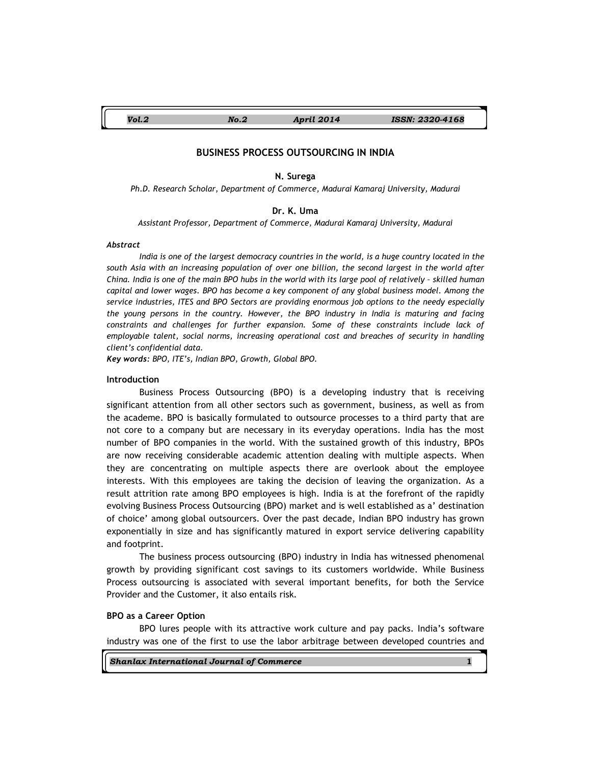Vol.2 No.2 April 2014 ISSN: 2320-4168

# BUSINESS PROCESS OUTSOURCING IN INDIA

#### N. Surega

Ph.D. Research Scholar, Department of Commerce, Madurai Kamaraj University, Madurai

# Dr. K. Uma

Assistant Professor, Department of Commerce, Madurai Kamaraj University, Madurai

### Abstract

India is one of the largest democracy countries in the world, is a huge country located in the south Asia with an increasing population of over one billion, the second largest in the world after China. India is one of the main BPO hubs in the world with its large pool of relatively – skilled human capital and lower wages. BPO has become a key component of any global business model. Among the service industries, ITES and BPO Sectors are providing enormous job options to the needy especially the young persons in the country. However, the BPO industry in India is maturing and facing constraints and challenges for further expansion. Some of these constraints include lack of employable talent, social norms, increasing operational cost and breaches of security in handling client's confidential data.

Key words: BPO, ITE's, Indian BPO, Growth, Global BPO.

#### Introduction

Business Process Outsourcing (BPO) is a developing industry that is receiving significant attention from all other sectors such as government, business, as well as from the academe. BPO is basically formulated to outsource processes to a third party that are not core to a company but are necessary in its everyday operations. India has the most number of BPO companies in the world. With the sustained growth of this industry, BPOs are now receiving considerable academic attention dealing with multiple aspects. When they are concentrating on multiple aspects there are overlook about the employee interests. With this employees are taking the decision of leaving the organization. As a result attrition rate among BPO employees is high. India is at the forefront of the rapidly evolving Business Process Outsourcing (BPO) market and is well established as a' destination of choice' among global outsourcers. Over the past decade, Indian BPO industry has grown exponentially in size and has significantly matured in export service delivering capability and footprint.

The business process outsourcing (BPO) industry in India has witnessed phenomenal growth by providing significant cost savings to its customers worldwide. While Business Process outsourcing is associated with several important benefits, for both the Service Provider and the Customer, it also entails risk.

# BPO as a Career Option

BPO lures people with its attractive work culture and pay packs. India's software industry was one of the first to use the labor arbitrage between developed countries and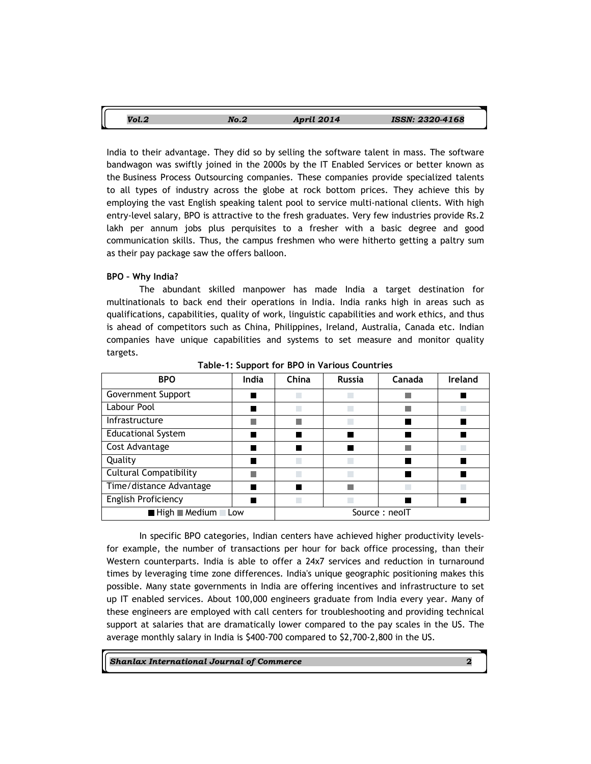| Vol.2 | No.2 | <b>April 2014</b> | ISSN: 2320-4168 |
|-------|------|-------------------|-----------------|
|       |      |                   |                 |

India to their advantage. They did so by selling the software talent in mass. The software bandwagon was swiftly joined in the 2000s by the IT Enabled Services or better known as the Business Process Outsourcing companies. These companies provide specialized talents to all types of industry across the globe at rock bottom prices. They achieve this by employing the vast English speaking talent pool to service multi-national clients. With high entry-level salary, BPO is attractive to the fresh graduates. Very few industries provide Rs.2 lakh per annum jobs plus perquisites to a fresher with a basic degree and good communication skills. Thus, the campus freshmen who were hitherto getting a paltry sum as their pay package saw the offers balloon.

# BPO – Why India?

The abundant skilled manpower has made India a target destination for multinationals to back end their operations in India. India ranks high in areas such as qualifications, capabilities, quality of work, linguistic capabilities and work ethics, and thus is ahead of competitors such as China, Philippines, Ireland, Australia, Canada etc. Indian companies have unique capabilities and systems to set measure and monitor quality targets.

| <b>BPO</b>                                                   | India | China         | <b>Russia</b> | Canada | Ireland |
|--------------------------------------------------------------|-------|---------------|---------------|--------|---------|
| Government Support                                           |       |               |               |        |         |
| Labour Pool                                                  |       | k.            |               |        |         |
| Infrastructure                                               |       |               | k.            |        |         |
| <b>Educational System</b>                                    |       |               |               |        |         |
| Cost Advantage                                               |       |               |               |        |         |
| Quality                                                      |       | $\Box$        |               |        |         |
| <b>Cultural Compatibility</b>                                |       | П             |               |        |         |
| Time/distance Advantage                                      |       |               |               |        |         |
| <b>English Proficiency</b>                                   |       | $\Box$        |               |        |         |
| $\blacksquare$ High $\blacksquare$ Medium $\blacksquare$ Low |       | Source: neoIT |               |        |         |

Table-1: Support for BPO in Various Countries

In specific BPO categories, Indian centers have achieved higher productivity levelsfor example, the number of transactions per hour for back office processing, than their Western counterparts. India is able to offer a 24x7 services and reduction in turnaround times by leveraging time zone differences. India's unique geographic positioning makes this possible. Many state governments in India are offering incentives and infrastructure to set up IT enabled services. About 100,000 engineers graduate from India every year. Many of these engineers are employed with call centers for troubleshooting and providing technical support at salaries that are dramatically lower compared to the pay scales in the US. The average monthly salary in India is \$400-700 compared to \$2,700-2,800 in the US.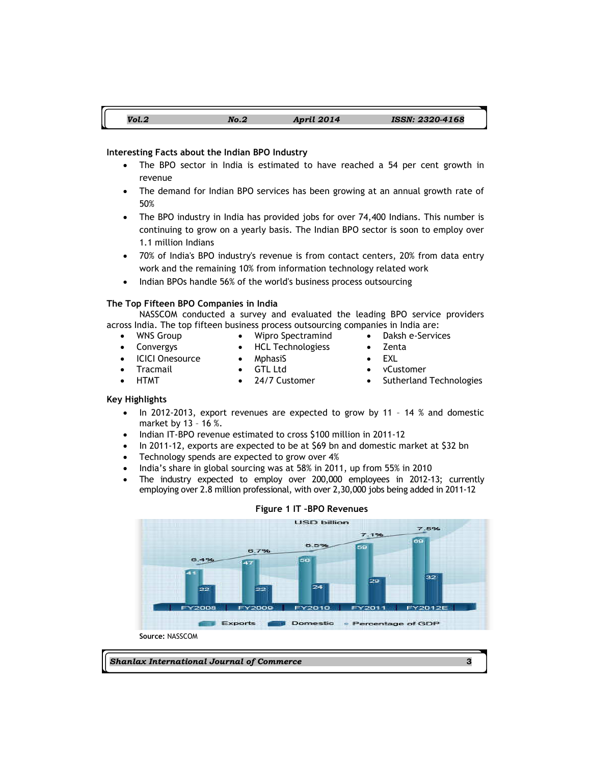# Vol.2 No.2 April 2014 ISSN: 2320-4168

# Interesting Facts about the Indian BPO Industry

- The BPO sector in India is estimated to have reached a 54 per cent growth in revenue
- The demand for Indian BPO services has been growing at an annual growth rate of 50%
- The BPO industry in India has provided jobs for over 74,400 Indians. This number is continuing to grow on a yearly basis. The Indian BPO sector is soon to employ over 1.1 million Indians
- 70% of India's BPO industry's revenue is from contact centers, 20% from data entry work and the remaining 10% from information technology related work
- Indian BPOs handle 56% of the world's business process outsourcing

#### The Top Fifteen BPO Companies in India

NASSCOM conducted a survey and evaluated the leading BPO service providers across India. The top fifteen business process outsourcing companies in India are:

- 
- WNS Group Wipro Spectramind Daksh e-Services
- Convergys HCL Technologiess Zenta
- ICICI Onesource MphasiS EXL
	-
	- Tracmail GTL Ltd vCustomer
- 
- 
- HTMT 24/7 Customer Sutherland Technologies

# Key Highlights

- In 2012-2013, export revenues are expected to grow by 11 14 % and domestic market by 13 – 16 %.
- Indian IT-BPO revenue estimated to cross \$100 million in 2011-12
- In 2011-12, exports are expected to be at \$69 bn and domestic market at \$32 bn
- Technology spends are expected to grow over 4%
- India's share in global sourcing was at 58% in 2011, up from 55% in 2010
- The industry expected to employ over 200,000 employees in 2012-13; currently employing over 2.8 million professional, with over 2,30,000 jobs being added in 2011-12

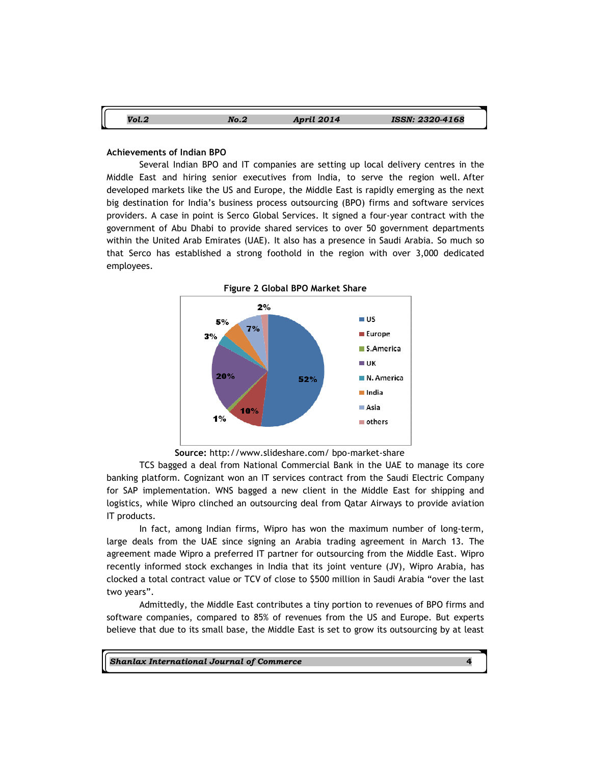| Vol.2 | No.2 | <b>April 2014</b> | <b>ISSN: 2320-4168</b> |
|-------|------|-------------------|------------------------|

# Achievements of Indian BPO

Several Indian BPO and IT companies are setting up local delivery centres in the Middle East and hiring senior executives from India, to serve the region well. After developed markets like the US and Europe, the Middle East is rapidly emerging as the next big destination for India's business process outsourcing (BPO) firms and software services providers. A case in point is Serco Global Services. It signed a four-year contract with the government of Abu Dhabi to provide shared services to over 50 government departments within the United Arab Emirates (UAE). It also has a presence in Saudi Arabia. So much so that Serco has established a strong foothold in the region with over 3,000 dedicated employees.



Source: http://www.slideshare.com/ bpo-market-share

TCS bagged a deal from National Commercial Bank in the UAE to manage its core banking platform. Cognizant won an IT services contract from the Saudi Electric Company for SAP implementation. WNS bagged a new client in the Middle East for shipping and logistics, while Wipro clinched an outsourcing deal from Qatar Airways to provide aviation IT products.

In fact, among Indian firms, Wipro has won the maximum number of long-term, large deals from the UAE since signing an Arabia trading agreement in March 13. The agreement made Wipro a preferred IT partner for outsourcing from the Middle East. Wipro recently informed stock exchanges in India that its joint venture (JV), Wipro Arabia, has clocked a total contract value or TCV of close to \$500 million in Saudi Arabia "over the last two years".

Admittedly, the Middle East contributes a tiny portion to revenues of BPO firms and software companies, compared to 85% of revenues from the US and Europe. But experts believe that due to its small base, the Middle East is set to grow its outsourcing by at least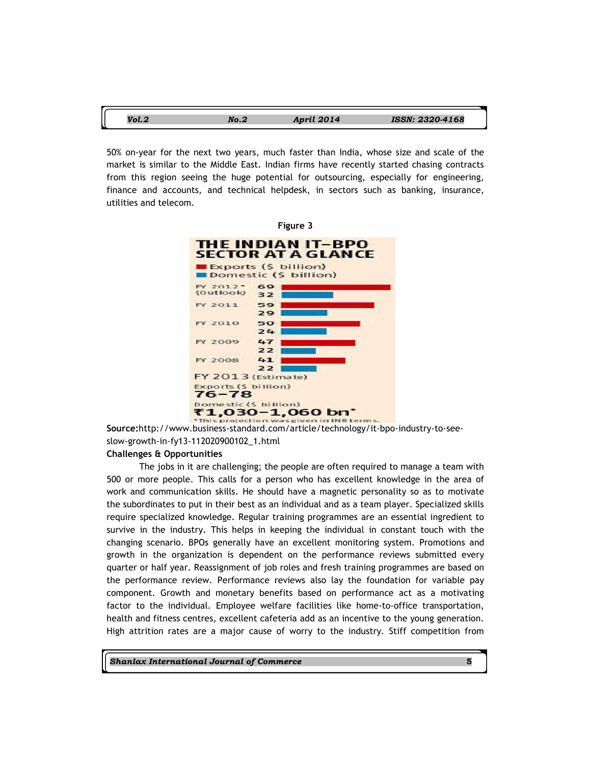| $V_0$ $\sim$ | Nn | April 2014 | <b>ISSN: 2320-4168</b> |
|--------------|----|------------|------------------------|

50% on-year for the next two years, much faster than India, whose size and scale of the market is similar to the Middle East. Indian firms have recently started chasing contracts from this region seeing the huge potential for outsourcing, especially for engineering, finance and accounts, and technical helpdesk, in sectors such as banking, insurance, utilities and telecom.



Source:http://www.business-standard.com/article/technology/it-bpo-industry-to-seeslow-growth-in-fy13-112020900102\_1.html

# Challenges & Opportunities

The jobs in it are challenging; the people are often required to manage a team with 500 or more people. This calls for a person who has excellent knowledge in the area of work and communication skills. He should have a magnetic personality so as to motivate the subordinates to put in their best as an individual and as a team player. Specialized skills require specialized knowledge. Regular training programmes are an essential ingredient to survive in the industry. This helps in keeping the individual in constant touch with the changing scenario. BPOs generally have an excellent monitoring system. Promotions and growth in the organization is dependent on the performance reviews submitted every quarter or half year. Reassignment of job roles and fresh training programmes are based on the performance review. Performance reviews also lay the foundation for variable pay component. Growth and monetary benefits based on performance act as a motivating factor to the individual. Employee welfare facilities like home-to-office transportation, health and fitness centres, excellent cafeteria add as an incentive to the young generation. High attrition rates are a major cause of worry to the industry. Stiff competition from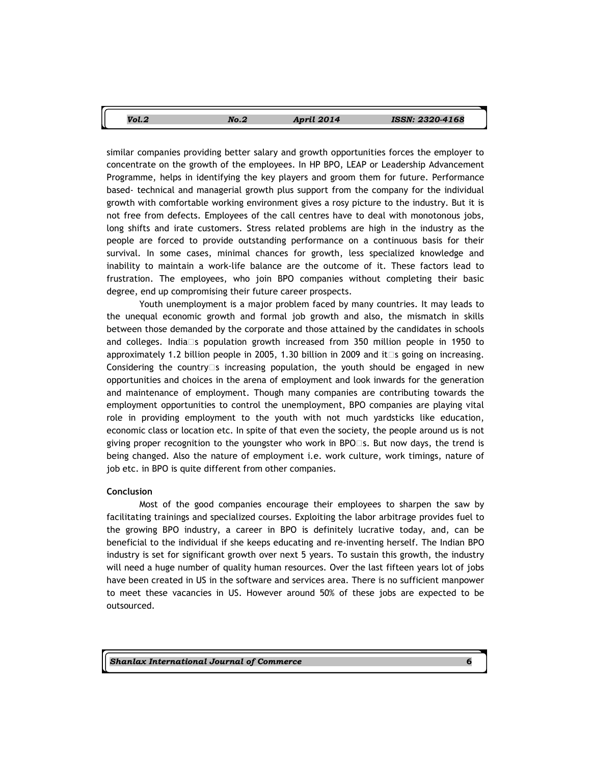| Vol.2 | No.2 | April 2014 | ISSN: 2320-4168 |
|-------|------|------------|-----------------|
|       |      |            |                 |

similar companies providing better salary and growth opportunities forces the employer to concentrate on the growth of the employees. In HP BPO, LEAP or Leadership Advancement Programme, helps in identifying the key players and groom them for future. Performance based- technical and managerial growth plus support from the company for the individual growth with comfortable working environment gives a rosy picture to the industry. But it is not free from defects. Employees of the call centres have to deal with monotonous jobs, long shifts and irate customers. Stress related problems are high in the industry as the people are forced to provide outstanding performance on a continuous basis for their survival. In some cases, minimal chances for growth, less specialized knowledge and inability to maintain a work-life balance are the outcome of it. These factors lead to frustration. The employees, who join BPO companies without completing their basic degree, end up compromising their future career prospects.

Youth unemployment is a major problem faced by many countries. It may leads to the unequal economic growth and formal job growth and also, the mismatch in skills between those demanded by the corporate and those attained by the candidates in schools and colleges. India s population growth increased from 350 million people in 1950 to approximately 1.2 billion people in 2005, 1.30 billion in 2009 and it s going on increasing. Considering the country s increasing population, the youth should be engaged in new opportunities and choices in the arena of employment and look inwards for the generation and maintenance of employment. Though many companies are contributing towards the employment opportunities to control the unemployment, BPO companies are playing vital role in providing employment to the youth with not much yardsticks like education, economic class or location etc. In spite of that even the society, the people around us is not giving proper recognition to the youngster who work in BPO s. But now days, the trend is being changed. Also the nature of employment i.e. work culture, work timings, nature of job etc. in BPO is quite different from other companies.

#### Conclusion

Most of the good companies encourage their employees to sharpen the saw by facilitating trainings and specialized courses. Exploiting the labor arbitrage provides fuel to the growing BPO industry, a career in BPO is definitely lucrative today, and, can be beneficial to the individual if she keeps educating and re-inventing herself. The Indian BPO industry is set for significant growth over next 5 years. To sustain this growth, the industry will need a huge number of quality human resources. Over the last fifteen years lot of jobs have been created in US in the software and services area. There is no sufficient manpower to meet these vacancies in US. However around 50% of these jobs are expected to be outsourced.